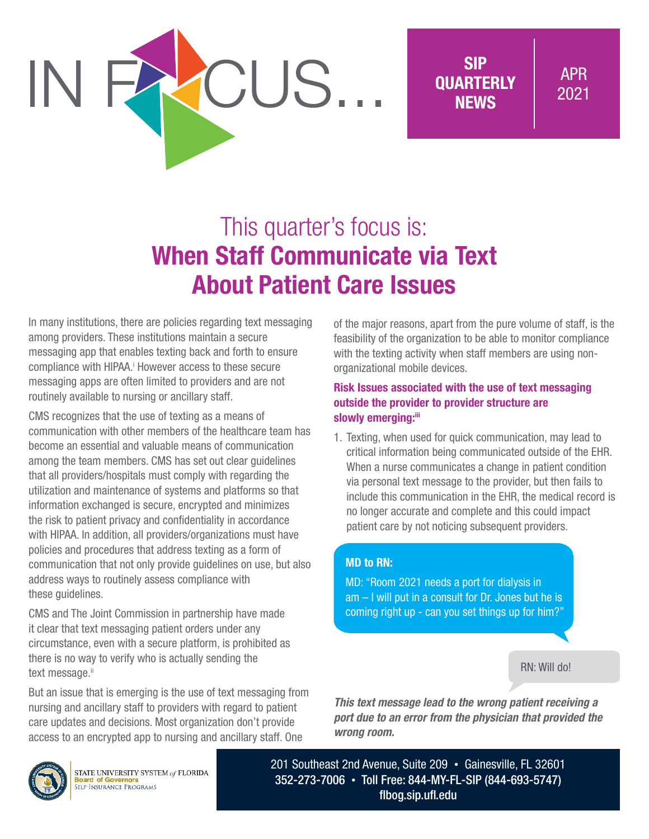

# This quarter's focus is: When Staff Communicate via Text About Patient Care Issues

CUS..

In many institutions, there are policies regarding text messaging among providers. These institutions maintain a secure messaging app that enables texting back and forth to ensure compliance with HIPAA.<sup>i</sup> However access to these secure messaging apps are often limited to providers and are not routinely available to nursing or ancillary staff.

CMS recognizes that the use of texting as a means of communication with other members of the healthcare team has become an essential and valuable means of communication among the team members. CMS has set out clear guidelines that all providers/hospitals must comply with regarding the utilization and maintenance of systems and platforms so that information exchanged is secure, encrypted and minimizes the risk to patient privacy and confidentiality in accordance with HIPAA. In addition, all providers/organizations must have policies and procedures that address texting as a form of communication that not only provide guidelines on use, but also address ways to routinely assess compliance with these guidelines.

CMS and The Joint Commission in partnership have made it clear that text messaging patient orders under any circumstance, even with a secure platform, is prohibited as there is no way to verify who is actually sending the text message.ii

But an issue that is emerging is the use of text messaging from nursing and ancillary staff to providers with regard to patient care updates and decisions. Most organization don't provide access to an encrypted app to nursing and ancillary staff. One

of the major reasons, apart from the pure volume of staff, is the feasibility of the organization to be able to monitor compliance with the texting activity when staff members are using nonorganizational mobile devices.

#### Risk Issues associated with the use of text messaging outside the provider to provider structure are slowly emerging:iii

1. Texting, when used for quick communication, may lead to critical information being communicated outside of the EHR. When a nurse communicates a change in patient condition via personal text message to the provider, but then fails to include this communication in the EHR, the medical record is no longer accurate and complete and this could impact patient care by not noticing subsequent providers.

### MD to RN:

MD: "Room 2021 needs a port for dialysis in am – I will put in a consult for Dr. Jones but he is coming right up - can you set things up for him?"

RN: Will do!

*This text message lead to the wrong patient receiving a port due to an error from the physician that provided the wrong room.*



STATE UNIVERSITY SYSTEM of FLORIDA **Board of Governors**<br>SELF-INSURANCE PROGRAMS

201 Southeast 2nd Avenue, Suite 209 • Gainesville, FL 32601 352-273-7006 • Toll Free: 844-MY-FL-SIP (844-693-5747) [flbog.sip.ufl.edu](http://flbog.sip.ufl.edu)